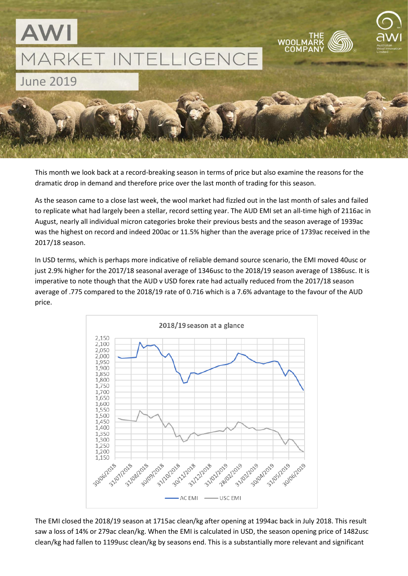

This month we look back at a record-breaking season in terms of price but also examine the reasons for the dramatic drop in demand and therefore price over the last month of trading for this season.

As the season came to a close last week, the wool market had fizzled out in the last month of sales and failed to replicate what had largely been a stellar, record setting year. The AUD EMI set an all-time high of 2116ac in August, nearly all individual micron categories broke their previous bests and the season average of 1939ac was the highest on record and indeed 200ac or 11.5% higher than the average price of 1739ac received in the 2017/18 season.

In USD terms, which is perhaps more indicative of reliable demand source scenario, the EMI moved 40usc or just 2.9% higher for the 2017/18 seasonal average of 1346usc to the 2018/19 season average of 1386usc. It is imperative to note though that the AUD v USD forex rate had actually reduced from the 2017/18 season average of .775 compared to the 2018/19 rate of 0.716 which is a 7.6% advantage to the favour of the AUD price.



The EMI closed the 2018/19 season at 1715ac clean/kg after opening at 1994ac back in July 2018. This result saw a loss of 14% or 279ac clean/kg. When the EMI is calculated in USD, the season opening price of 1482usc clean/kg had fallen to 1199usc clean/kg by seasons end. This is a substantially more relevant and significant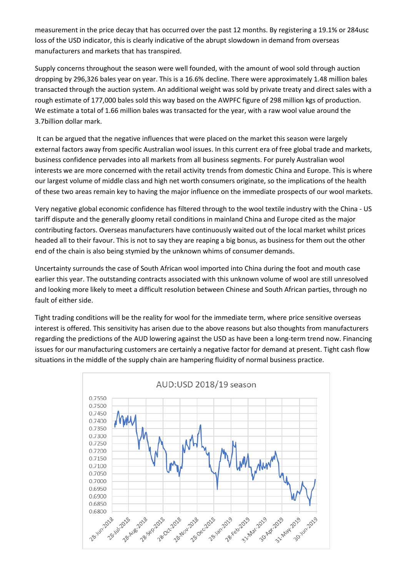measurement in the price decay that has occurred over the past 12 months. By registering a 19.1% or 284usc loss of the USD indicator, this is clearly indicative of the abrupt slowdown in demand from overseas manufacturers and markets that has transpired.

Supply concerns throughout the season were well founded, with the amount of wool sold through auction dropping by 296,326 bales year on year. This is a 16.6% decline. There were approximately 1.48 million bales transacted through the auction system. An additional weight was sold by private treaty and direct sales with a rough estimate of 177,000 bales sold this way based on the AWPFC figure of 298 million kgs of production. We estimate a total of 1.66 million bales was transacted for the year, with a raw wool value around the 3.7billion dollar mark.

It can be argued that the negative influences that were placed on the market this season were largely external factors away from specific Australian wool issues. In this current era of free global trade and markets, business confidence pervades into all markets from all business segments. For purely Australian wool interests we are more concerned with the retail activity trends from domestic China and Europe. This is where our largest volume of middle class and high net worth consumers originate, so the implications of the health of these two areas remain key to having the major influence on the immediate prospects of our wool markets.

Very negative global economic confidence has filtered through to the wool textile industry with the China - US tariff dispute and the generally gloomy retail conditions in mainland China and Europe cited as the major contributing factors. Overseas manufacturers have continuously waited out of the local market whilst prices headed all to their favour. This is not to say they are reaping a big bonus, as business for them out the other end of the chain is also being stymied by the unknown whims of consumer demands.

Uncertainty surrounds the case of South African wool imported into China during the foot and mouth case earlier this year. The outstanding contracts associated with this unknown volume of wool are still unresolved and looking more likely to meet a difficult resolution between Chinese and South African parties, through no fault of either side.

Tight trading conditions will be the reality for wool for the immediate term, where price sensitive overseas interest is offered. This sensitivity has arisen due to the above reasons but also thoughts from manufacturers regarding the predictions of the AUD lowering against the USD as have been a long-term trend now. Financing issues for our manufacturing customers are certainly a negative factor for demand at present. Tight cash flow situations in the middle of the supply chain are hampering fluidity of normal business practice.